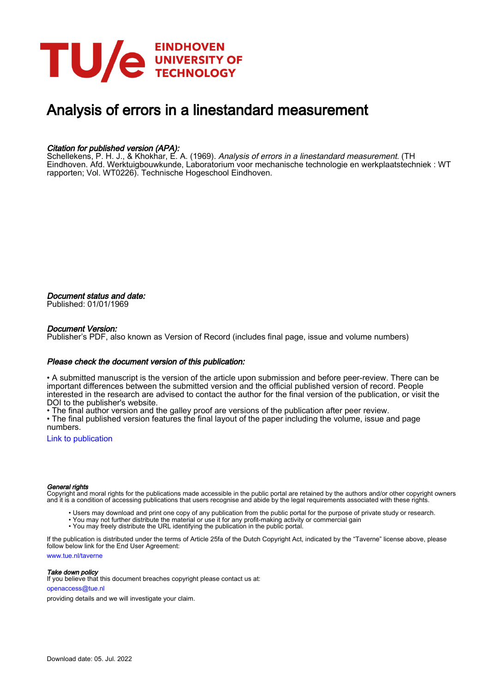

## Analysis of errors in a linestandard measurement

### Citation for published version (APA):

Schellekens, P. H. J., & Khokhar, E. A. (1969). *Analysis of errors in a linestandard measurement*. (TH Eindhoven. Afd. Werktuigbouwkunde, Laboratorium voor mechanische technologie en werkplaatstechniek : WT rapporten; Vol. WT0226). Technische Hogeschool Eindhoven.

Document status and date: Published: 01/01/1969

#### Document Version:

Publisher's PDF, also known as Version of Record (includes final page, issue and volume numbers)

#### Please check the document version of this publication:

• A submitted manuscript is the version of the article upon submission and before peer-review. There can be important differences between the submitted version and the official published version of record. People interested in the research are advised to contact the author for the final version of the publication, or visit the DOI to the publisher's website.

• The final author version and the galley proof are versions of the publication after peer review.

• The final published version features the final layout of the paper including the volume, issue and page numbers.

[Link to publication](https://research.tue.nl/en/publications/804c85bc-9abe-464d-bfe3-0bb1f55efc54)

#### General rights

Copyright and moral rights for the publications made accessible in the public portal are retained by the authors and/or other copyright owners and it is a condition of accessing publications that users recognise and abide by the legal requirements associated with these rights.

- Users may download and print one copy of any publication from the public portal for the purpose of private study or research.
- You may not further distribute the material or use it for any profit-making activity or commercial gain
- You may freely distribute the URL identifying the publication in the public portal.

If the publication is distributed under the terms of Article 25fa of the Dutch Copyright Act, indicated by the "Taverne" license above, please follow below link for the End User Agreement:

www.tue.nl/taverne

**Take down policy**<br>If you believe that this document breaches copyright please contact us at:

openaccess@tue.nl

providing details and we will investigate your claim.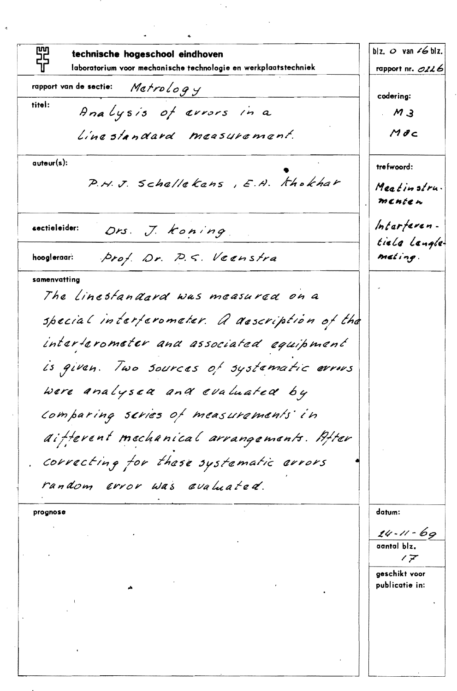丽节 blz.  $\circ$  van  $\le$  blz. technische hogeschool eindhoven laboratorium voor mechanische technologie en werkplaatstechniek rapport nr.  $O226$ Metrology rapport van de sectie: codering: titel: Analysis of avrors in a  $M<sub>3</sub>$  $M$ dc Linestandard measurement.  $auteur(s)$ : trefwoord: P.H.J. Schallekans, E.H. Khokhar Meatinstru. menten Interferen-Ors. J. Koning. sectieleider: tiele Langleprof. Dr. P.S. Veenstra meting. hoogleraar: samenvatting The Linestandard was measured on a special interferometer. A asscription of the interterometer and associated equipment is given. Two sources of systematic errors were analysed and evaluated by Comparing scries of measurements in aifferent mechanical arrangements. After correcting for these systematic errors random error was evaluated. datum: prognose  $24 - 11 - 69$ aantal blz.  $7\overline{7}$ geschikt voor publicatie in: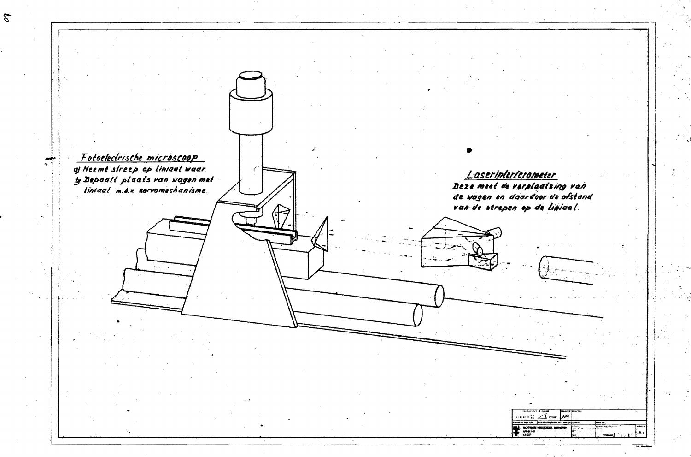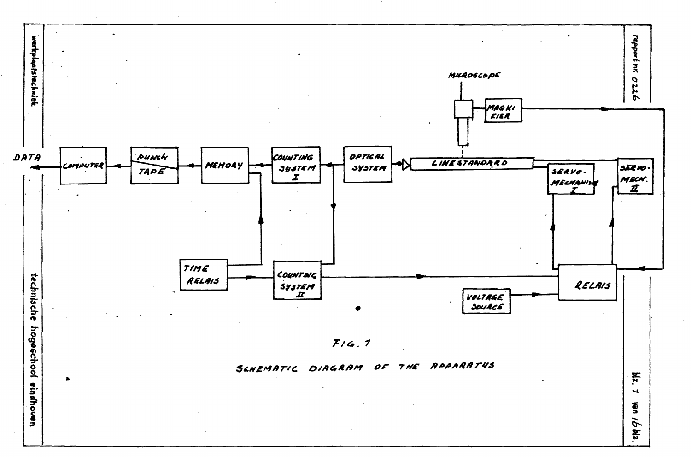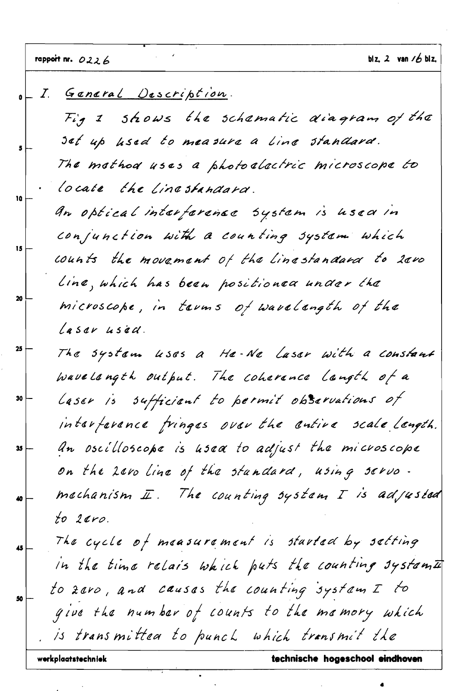$\hat{\mathbf{z}}$ 

 $\frac{1}{2}$ 

 $\bullet$ 

 $\hat{\boldsymbol{\theta}}$ 

|                   | I. General Description.                                          |
|-------------------|------------------------------------------------------------------|
|                   | Fig 2 shows the schamatic diagram of the                         |
|                   | set up hsed to measure a line standard.                          |
|                   | The mothod uses a photoelactric microscope to                    |
| 10                | locate the Linestandard.                                         |
|                   | An optical interference system is used in                        |
|                   | conjunction with a counting system which                         |
| $\mathbf{15}$     | counts the movament of the linestandard to 2000                  |
|                   | Line, which has been positionea under the                        |
|                   | microscope, in tarms of warelangth of the                        |
|                   | Lasar usad.                                                      |
| $25\frac{1}{3}$   | The system uses a Ha-Ne Laser with a constant                    |
|                   | wave Langth output. The coherence langth of a                    |
| 30                | Laser is sufficient to permit observations of                    |
|                   | interference fringes over the entire scale length.               |
| $35$ $\leftarrow$ | An oscilloscope is usea to adjust the microscope                 |
|                   | on the 2010 line of the standard, using servo.                   |
|                   | The counting system $\Gamma$ is adjusted<br>mechanism $I\!\!I$ . |
|                   | $to$ $2$ aro.                                                    |
| 45                | The cycle of measurement is started by setting                   |
|                   | In the time relais which puts the counting system $\vec{a}$      |
|                   | to zaro, and causas the counting system I to                     |
|                   | give the number of counts to the memory which                    |
|                   | is transmittea to punch which transmit the                       |
|                   | technische hogeschool eindhoven<br>werkplaatstechniek            |

 $\bullet$ 

 $\ddot{\phantom{a}}$ 

 $\ddot{\phantom{a}}$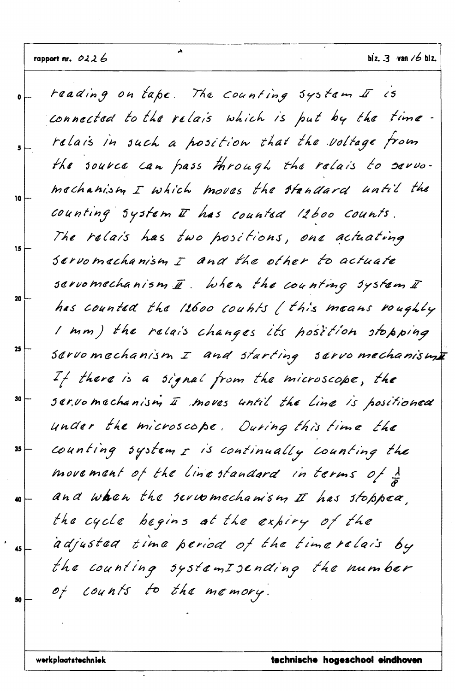reading on tape. The counting system  $I$  is Ō connected to the relais which is put by the time. relais in such a position that the voltage from 5 the source can pass through the relais to servomachanism I which moves the standard until the 10 counting system I has counted 12600 Counts. The relais has two positions, one actuating 15 Servomechanism I and the other to actuate servomechanism  $\bar{a}$ . When the counting system  $\bar{x}$ 20 has counted the 12600 counts (this means roughly I mm) the relais changes its hosttion stopping 25 sarvomechanism I and starting sarvomechanisme If there is a signal from the microscope, the 30 servomechanism II moves until the line is positioned under the microscope. During this time the counting system I is continually counting the 35 movement of the line standard in terms of 1 and when the servomechamsm II has stopped, 40 the cycle begins at the expiry of the adjusted time period of the timeralais by 45 the counting systemIsending the number of counts to the memory. 50

À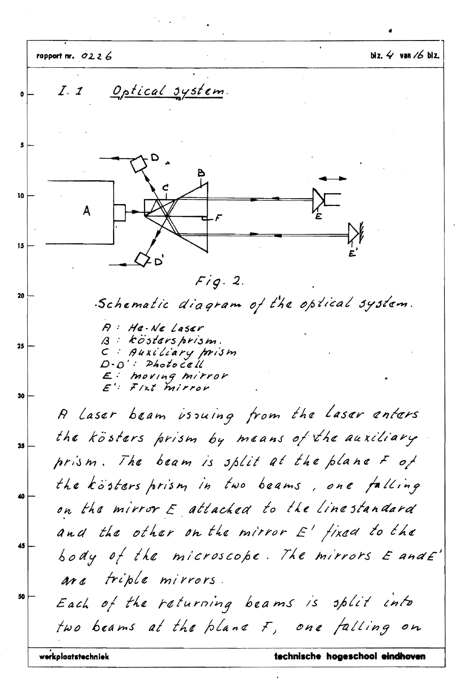biz.  $4$  van  $/6$  biz. rapport nr.  $0226$ <u>Optical system</u>  $Z<sub>z</sub>$ O 5 10 A 15  $Fig. 2.$ 20 Schematic diagram of the optical system.  $P$ : He-Ne Laser  $B : kõstars prism.$  $25$ C : Auxiliary prism  $D \cdot D'$ : Photocell  $E:$  moving mirror  $E'$ : Fixt mirror 30 A Laser beam issuing from the Laser enters the kösters prism by means of the auxiliary 35 prism. The beam is split at the plane  $F$  of the kösters prism in two beams, one falling 40 on the mirror E attached to the linestandard and the other on the mirror  $E'$  fixed to the 45 body of the microscope. The mirrors  $\mathcal E$  and  $\mathcal E'$ are triple mirrors. 50 Each of the returning beams is split into two beams at the plane F, one falling on werkplaatstechniek technische hogeschool eindhoven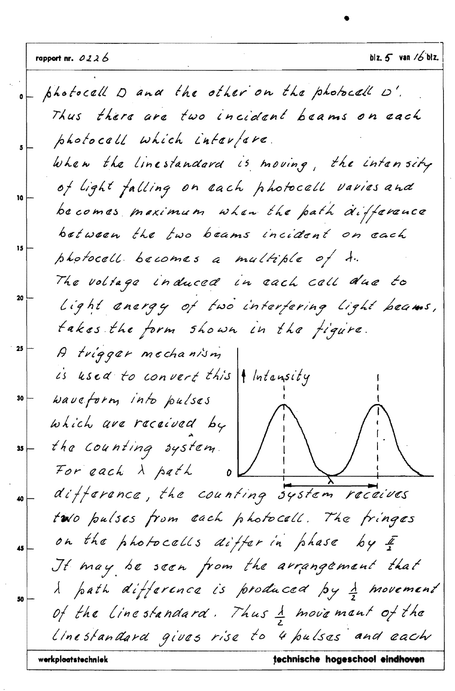photocall D and the other on the photocall D'. Thus there are two incident beams on each photocall which interfere. When the linestandard is moving, the intensity of light falling on each photocall varies and 10 becomes maximum when the path difference between the two beams incident on each 15 photocell becomes a multiple of to. The voltage induced in each cell due to 20 Light anargy of two interfering light beams, takes the form shown in the figure. 25 A trigger mechanism is used to convert this  $\vert \vert$  Intensity waveform into pulses 30 which are received by the Counting system. 35 For each  $\lambda$  path difference, the counting system receives 40 two pulses from each photocall. The fringes on the photocells differ in phase  $64F$ 45 It may be seen from the arrangement that I path difference is produced by I movement 50 of the Linestandard. Thus 1 movement of the linestandard gives rise to 4 pulses and each werkplaatstechniek technische hogeschool eindhoven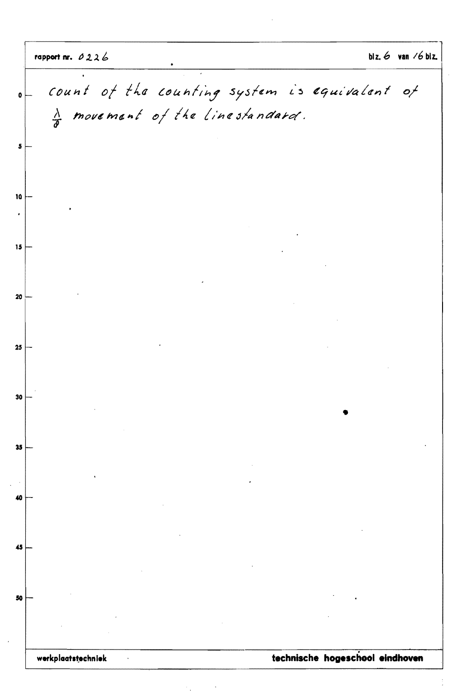count of the counting system is equivalent  $o f$  $\mathbf{a}$  $\frac{\lambda}{\delta}$  movement of the linestandard.  $\overline{\mathbf{5}}$ technische hogeschool eindhoven werkplaatstechniek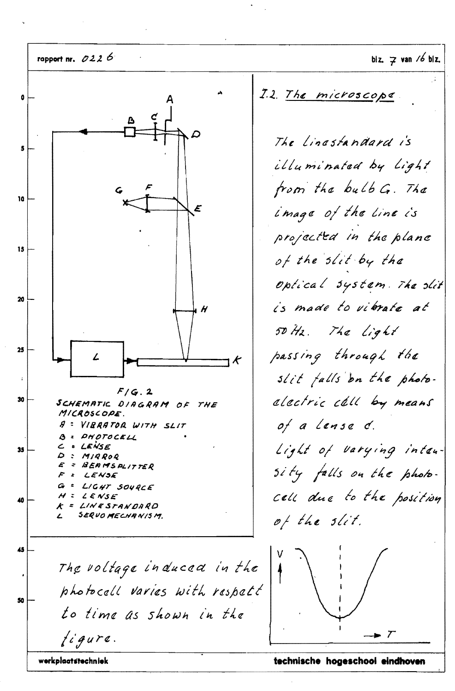rapport nr.  $0226$ blz.  $\overline{z}$  van /6 blz. I.2. The microscope ô The Linestandard is 5 illuminated by Light from the bulb G. The 10 image of the line is E projected in the plane 15 of the slit by the optical system. The slit 20 is made to vibrate at  $\boldsymbol{H}$ 50 Hz. The Light  $25$ passing through the ۷ K slit falls on the photo- $F/G.2$ alectric cell by means 30 SCHEMATIC DIAGRAM OF THE MICROSCOPE. of a Lanse d. A : VIRRATOR WITH SLIT **B** = PHOTOCELL Light of varying inten-LENSE ے  $\bullet$ 35  $\mathcal{D}$  $M/RROQ$ BEAMSPLITTER E  $\ddot{z}$ sity falls on the photo-LENSE = LIGHT SOURCE G cell due to the position  $\overline{\mathcal{A}}$  $Z \subseteq \mathcal{L} \in \mathcal{N} \mathcal{S} \mathcal{L}$ 40 K = LINESTANDARD SERVOMECHANISM.  $\mathbf{r}$ of the slit. 45 The voltage induced in the photocall varies with respect 50 to time as shown in the  $f$ igure. werkplaatstechniek

technische hogeschool eindhoven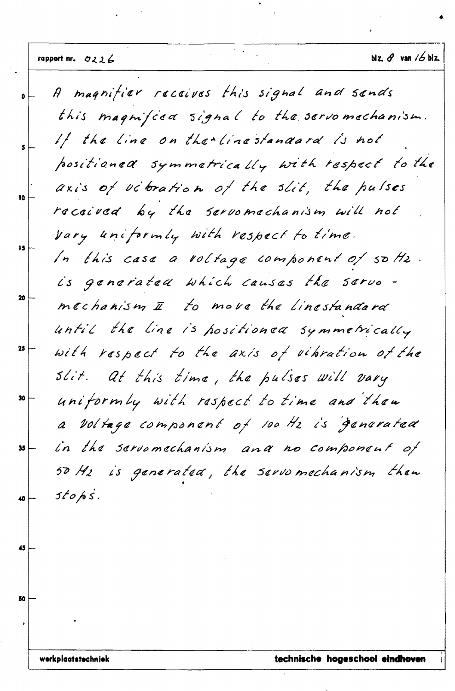magnifier receives this signal and sends  $\beta$  $\bullet$ this magnifica signal to the servomechanism. If the line on the Linestandard is not positioned symmetrically with respect to the axis of utbration of the slit, the pulses 10 received by the servomechanism will not vary uniformly with respect to time.  $15$ In this case a voltage component of softs. is generated which causes the servo 20 mechanism I to move the linestandard until the line is positioned symmetrically 25 with respect to the axis of vibration of the slit. At this time, the pulses will vary uniformly with respect to time and then 30 a voltage component of 100 Hz is generated in the servomechanism and no component of  $35$ 50 Hz is generated, the servomechanism then  $stoks.$ 40 45 50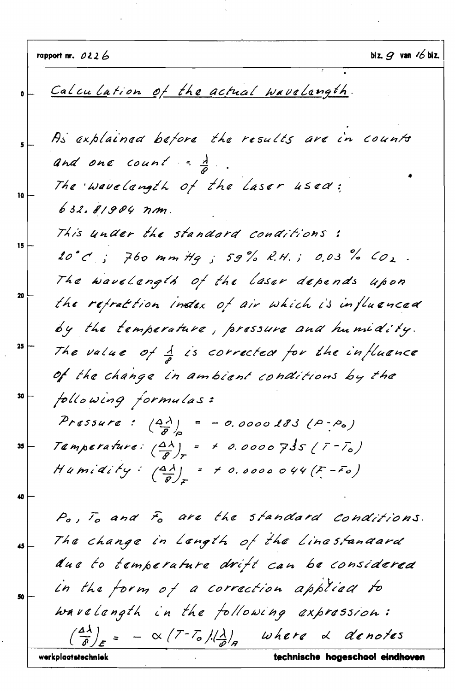blz.  $g$  van  $/6$  blz. rapport nr.  $0226$ Calculation of the actual wavelangth. As explained before the results are in counts and one count =  $\frac{1}{2}$ . The wavelangth of the laser used: 10 632.81904 nm. This under the standard conditions: 15 20°C ; 760 mm Hq ; 59% R.H.; 0.03% CO2. The wavelength of the laser depends upon 20 the refraction index of air which is influenced by the temperature, pressure and humidity. 25 The value of  $\frac{1}{2}$  is corrected for the influence of the change in ambient conditions by the following formulas: 30 Pressure:  $\left(\frac{\Delta\lambda}{g}\right)_{0} = -0.0000183(0.000)$ Temperature:  $\left(\frac{\Delta\lambda}{R}\right)_T$  = + 0.0000735 ( $\overline{r}$ - $\overline{r}_0$ ) 35 Humidity:  $\left(\frac{d\lambda}{d}\right)_x$  = 10.0000044(F-Fo) 40 Po, To and Fo are the standard conditions. The change in Length of the Linestandard 45 due to temperature drift can be considered in the form of a correction applied to 50 wavelength in the following expression:  $-\propto$  (7-7.) $\frac{1}{2}$  where  $\alpha$  denotes werkplaatstechniek technische hogeschool eindhoven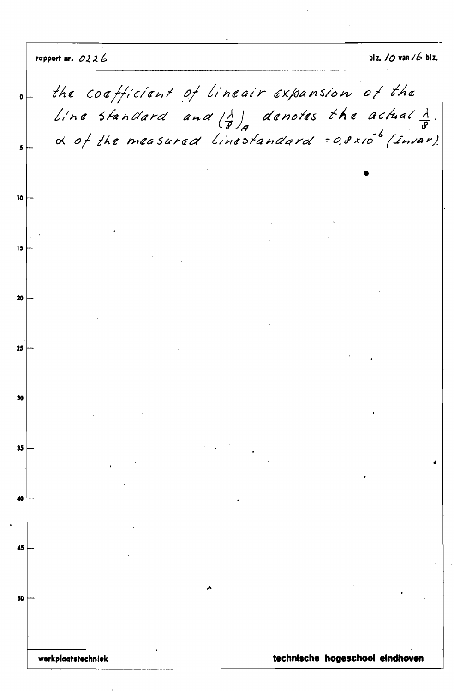blz. van  $16$  blz. rapport nr. 0226 the coefficient of lineair expansion of the Line standard and  $\left(\frac{\lambda}{\theta}\right)_A$  denotes the actual  $\frac{\lambda}{\theta}$ .<br>  $\alpha$  of the measured Linestandard = 0.0x10<sup>-6</sup> (Invar). technische hogeschool eindhoven werkplaatstechniek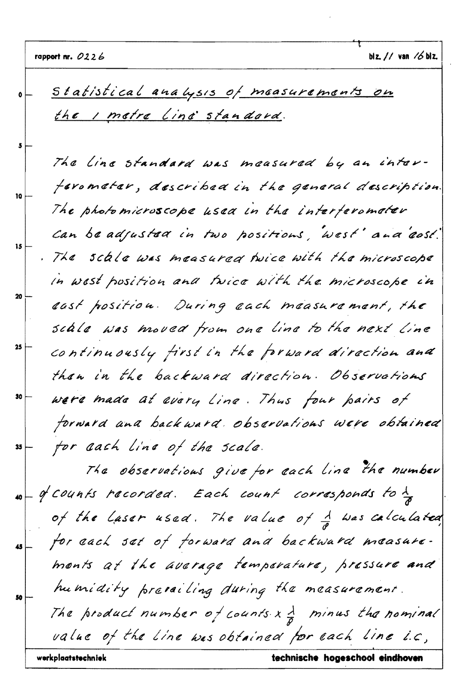t

|                                   | technische hogeschool eindhoven<br>werkplaatstechniek                                |
|-----------------------------------|--------------------------------------------------------------------------------------|
|                                   | value of the Line was obtained for each line i.c.                                    |
|                                   | The product number of counts $x \frac{\lambda}{\beta}$ minus the nominal             |
|                                   | humidity prevailing during the measurement.                                          |
|                                   | monts at the average temperature, pressure and                                       |
| $\overline{\mathbf{5}}$           | for each set of forward and backward measure.                                        |
|                                   | of the Laser used. The value of $\frac{1}{\vartheta}$ was calculated                 |
|                                   | $\omega -$ of Counts recorded. Each count corresponds to $\frac{\lambda}{\vartheta}$ |
|                                   | The observations give for each line the number                                       |
| $35 -$                            | for cach line of the scale.                                                          |
|                                   | forward and backward observations were obtained                                      |
| $\boldsymbol{30}$                 | were made at every Line. Thus four pairs of                                          |
|                                   | than in the backward direction. Observations                                         |
| $25$ $\left\lfloor \right\rfloor$ | continuously first in the forward direction and                                      |
|                                   | scale was moved from one line to the next line                                       |
| 20 <sup>1</sup>                   | cast position. During each measurement, the                                          |
|                                   | In west position and twice with the microscope in                                    |
| 15                                | . The scale was measured hoice with the microscope                                   |
|                                   | Can be adjusted in two positions, west' and 'east'                                   |
| 10 <sub>10</sub>                  | The photomicroscope used in the interferomater                                       |
|                                   | ferometer, described in the general description.                                     |
|                                   | The line standard was measured by an inter-                                          |
|                                   |                                                                                      |
|                                   | <u>the I metre line standard.</u>                                                    |
|                                   | Statistical analysis of measurements on                                              |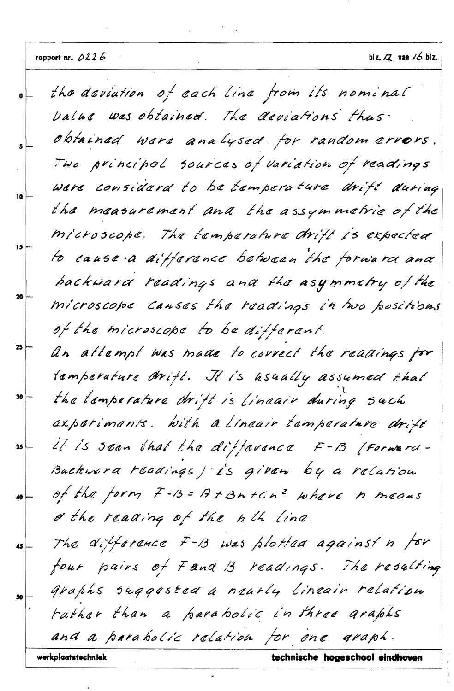the deviation of each line from its nominal ö Value was obtained. The deviations thus. obtained were analysed for random errors. Two principal sources of variation of readings were considerd to be temperature drift during 10 the measurement and the assymmetrie of the microscope. The temperature drift is expected 15 to cause a difference between the forward and backward readings and the asymmetry of the 20 microscope Canses the readings in two positions of the microscope to be different. 25 An attempt was made to correct the readings for tamperature Writt. It is hsually assumed that the temperature drift is lineair during such 30 axparimants. With a lineair tamparature drift it is seen that the difference  $F-B$  (Forward-35 Buckwerd readings ) is given by a relation of the form F-B = A+Bn+Cn2 where h means 40 & the reading of the nth line. The difference  $F-13$  was plotted against n for 45 four pairs of Fana B readings. The resulting graphs suggested a nearly lineair relation rather than a parabolic in three graphs and a parabolic relation for one graph. werkplaatstechniek technische hogeschool eindhoven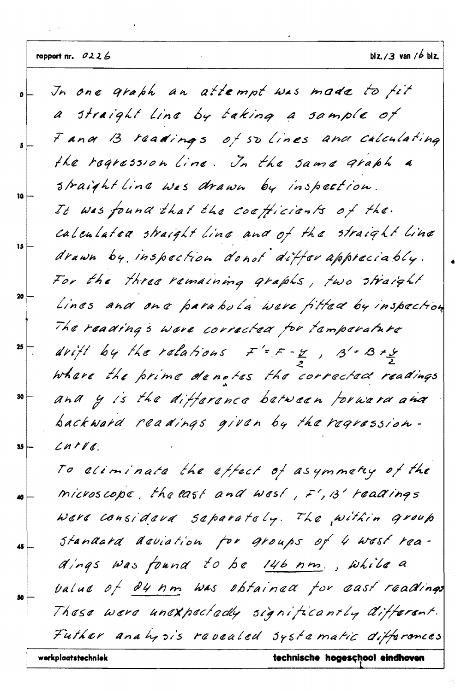J

 $\hat{\mathcal{L}}$ 

|               | werkplaatstechniek<br>technische hogeschool eindhoven                  |
|---------------|------------------------------------------------------------------------|
|               | Futher analysis revealed systematic differences                        |
|               | These were unexpectedly significantly different.                       |
| 50            | value of 04 nm was obtained for east readings                          |
|               | dings was found to be 146 nm., while a                                 |
| 45            | standard deviation for groups of 4 west rea-                           |
|               | Were considere saparately. The within group                            |
| 40            | microscope, the east and west, $F', B'$ readings                       |
|               | To aliminate the effect of asymmetry of the                            |
|               | $L$ n t $V$ d.                                                         |
|               | backward readings given by the regression-                             |
| 30            | and y is the difference between forward and                            |
|               | where the prime denotes the corrected readings                         |
| $25$ $\Big\}$ | drift by the ratations $F' = F - \frac{y}{2}$ , $3' - 3 + \frac{y}{2}$ |
|               | The reading's were corrected for tamparature                           |
|               | Lines and one parabola were fitted by inspection                       |
|               | For the three remaining graphs, two straight                           |
| 15            | drawn by inspection donot differ appreciably.                          |
|               | calculated straight line and of the straight line                      |
| 10            | It was found that the coefficients of the.                             |
|               | straight line was drawn by inspection.                                 |
|               | the regression line. In the same graph a                               |
|               | Fana B readings of so lines and calculating                            |
|               | a straight Line by taking a sample of                                  |
|               | In one graph an attempt was made to fit                                |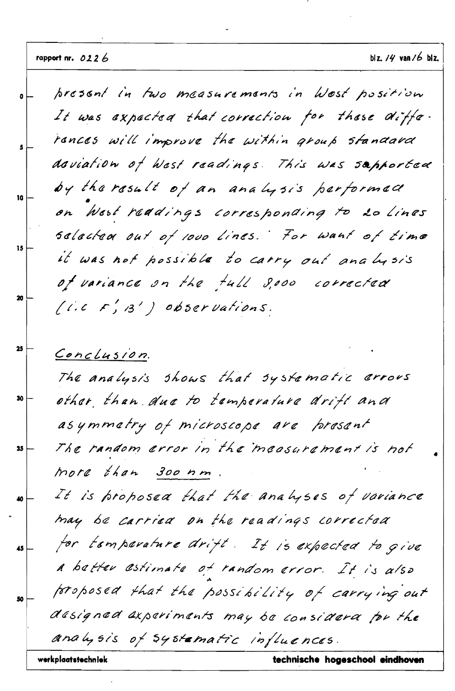present in two measurements in West position ő It was expected that correction for these diffe. rences will improve the within group standard doviation of West readings. This was supported by the result of an analysis performed 10 on West readings corresponding to 20 Lines sclacted out of 1000 lines. For want of time 15 it was not possible to carry out analysis of variance on the tull 8,000 corrected 20  $(i.c \ F', B')$  observations. 25 Conclusion. The analysis shows that systematic errors other than due to temperature drift and 30 asymmetry of microscope are present The random error in the measurement is not 35 more than 300 nm It is proposed that the analyses of variance 40 may be carried on the readings corrected for temperature drift. It is expected to give 45 a batter estimate of random error. It is also proposed that the possibility of carrying out 50 designed axperiments may be considered for the analysis of systematic influences. werkplaatstechniek technische hogeschool eindhoven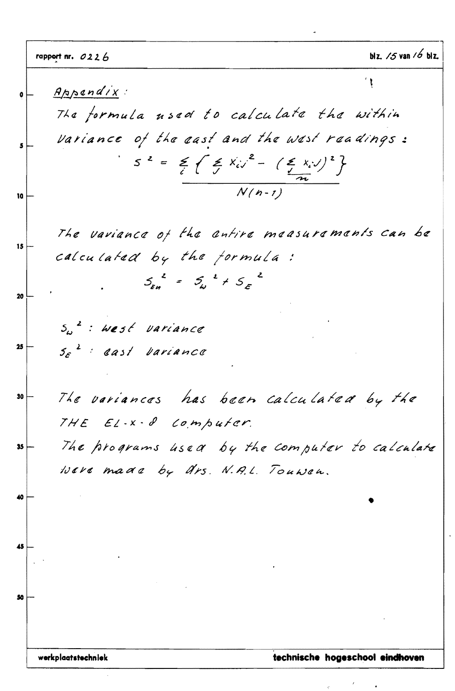|                 | rapport nr. $0226$                                                                                | blz. $/5$ van $/6$ blz.         |
|-----------------|---------------------------------------------------------------------------------------------------|---------------------------------|
|                 | Appendix:                                                                                         |                                 |
|                 | The formula used to calculate the within                                                          |                                 |
|                 | Variance of the east and the west readings:                                                       |                                 |
|                 | $S^2 = \frac{2}{c} \left\{ \frac{2}{c} x_{i} y^2 - \left( \frac{2}{n} x_{i} y \right)^2 \right\}$ |                                 |
| 10              | $N(n-1)$                                                                                          |                                 |
|                 | The variance of the entire measurements can be                                                    |                                 |
| 15              | calculated by the formula:                                                                        |                                 |
| 20 <sup>1</sup> | $5\frac{2}{\epsilon_{H}} = 5\frac{2}{\omega} + 5\frac{2}{\epsilon}$                               |                                 |
|                 | $S_{\omega}^2$ : west variance                                                                    |                                 |
| $25 \nvert$     | $5\varepsilon$ <sup>2</sup> cast variance                                                         |                                 |
| 30 <sub>1</sub> | The variances has been calculated by the                                                          |                                 |
|                 | THE EL-X-8 Computer.                                                                              |                                 |
| 35              | The programs used by the computer to calculate                                                    |                                 |
|                 | Were made by drs. N.A.L. Touwen.                                                                  |                                 |
|                 |                                                                                                   |                                 |
|                 |                                                                                                   |                                 |
|                 |                                                                                                   |                                 |
|                 |                                                                                                   |                                 |
|                 |                                                                                                   |                                 |
|                 |                                                                                                   |                                 |
|                 | werkplaatstechniek                                                                                | technische hogeschool eindhoven |

 $\sim$ 

 $\label{eq:2.1} \frac{d}{dt} \left( \frac{d}{dt} \right) = \frac{1}{2} \left( \frac{d}{dt} \right)$ 

 $\label{eq:1} \mathcal{S} = \frac{1}{\mathcal{S}} \mathcal{S} = \frac{1}{\mathcal{S}} \mathcal{S} = \frac{1}{\mathcal{S}} \mathcal{S}$